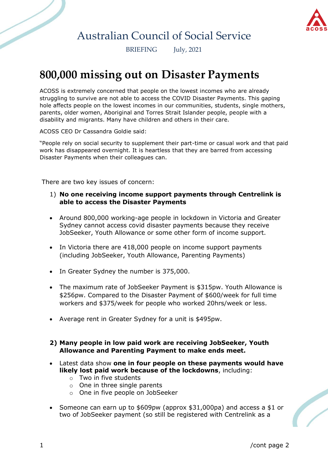

## Australian Council of Social Service

BRIEFING July, 2021

# **800,000 missing out on Disaster Payments**

ACOSS is extremely concerned that people on the lowest incomes who are already struggling to survive are not able to access the COVID Disaster Payments. This gaping hole affects people on the lowest incomes in our communities, students, single mothers, parents, older women, Aboriginal and Torres Strait Islander people, people with a disability and migrants. Many have children and others in their care.

ACOSS CEO Dr Cassandra Goldie said:

"People rely on social security to supplement their part-time or casual work and that paid work has disappeared overnight. It is heartless that they are barred from accessing Disaster Payments when their colleagues can.

There are two key issues of concern:

## 1) **No one receiving income support payments through Centrelink is able to access the Disaster Payments**

- Around 800,000 working-age people in lockdown in Victoria and Greater Sydney cannot access covid disaster payments because they receive JobSeeker, Youth Allowance or some other form of income support.
- In Victoria there are 418,000 people on income support payments (including JobSeeker, Youth Allowance, Parenting Payments)
- In Greater Sydney the number is 375,000.
- The maximum rate of JobSeeker Payment is \$315pw. Youth Allowance is \$256pw. Compared to the Disaster Payment of \$600/week for full time workers and \$375/week for people who worked 20hrs/week or less.
- Average rent in Greater Sydney for a unit is \$495pw.

## **2) Many people in low paid work are receiving JobSeeker, Youth Allowance and Parenting Payment to make ends meet.**

- Latest data show **one in four people on these payments would have likely lost paid work because of the lockdowns**, including:
	- o Two in five students
	- o One in three single parents
	- o One in five people on JobSeeker
- Someone can earn up to \$609pw (approx \$31,000pa) and access a \$1 or two of JobSeeker payment (so still be registered with Centrelink as a